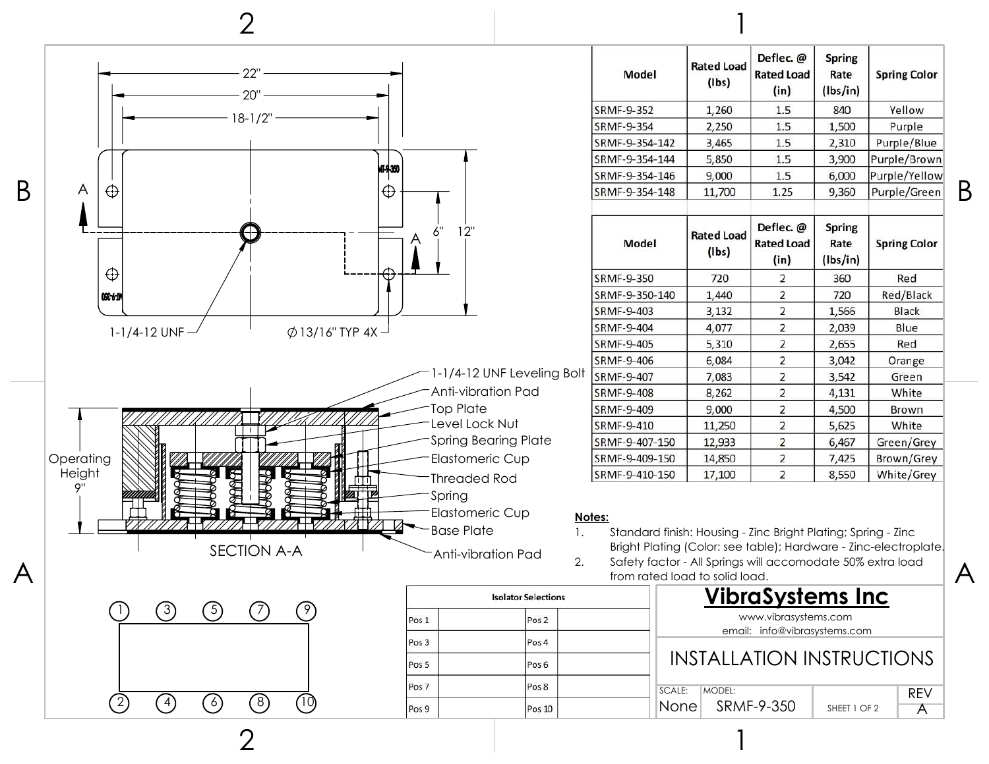

| Model             | <b>Rated Load</b><br>$($ lbs $)$ | Deflec.@<br><b>Rated Load</b><br>(in) | <b>Spring</b><br>Rate<br>(lbs/in) | <b>Spring Color</b> |  |  |
|-------------------|----------------------------------|---------------------------------------|-----------------------------------|---------------------|--|--|
| SRMF-9-352        | 1,260                            | 1.5                                   | 840                               | Yellow              |  |  |
| <b>SRMF-9-354</b> | 2,250                            | 1.5                                   | 1,500                             | Purple              |  |  |
| SRMF-9-354-142    | 3,465                            | 1.5                                   | 2,310                             | Purple/Blue         |  |  |
| SRMF-9-354-144    | 5,850                            | 1.5                                   | 3,900                             | Purple/Brown        |  |  |
| SRMF-9-354-146    | 9,000                            | 1.5                                   | 6,000                             | Purple/Yellow       |  |  |
| SRMF-9-354-148    | 11,700                           | 1.25                                  | 9,360                             | Purple/Green        |  |  |
|                   |                                  |                                       |                                   |                     |  |  |
| Model             | <b>Rated Load</b><br>$($ lbs $)$ | Deflec.@<br><b>Rated Load</b><br>(in) | <b>Spring</b><br>Rate<br>(lbs/in) | <b>Spring Color</b> |  |  |
| SRMF-9-350        | 720                              | $\overline{2}$                        | 360                               | Red                 |  |  |
| SRMF-9-350-140    | 1,440                            | $\overline{2}$                        | 720                               | Red/Black           |  |  |
| SRMF-9-403        | 3,132                            | $\overline{2}$                        | 1,566                             | Black               |  |  |
| SRMF-9-404        | 4,077                            | 2                                     | 2,039                             | Blue                |  |  |
| SRMF-9-405        | 5,310                            | $\overline{2}$                        | 2,655                             | Red                 |  |  |
| SRMF-9-406        | 6,084                            | $\overline{c}$                        | 3,042                             | Orange              |  |  |
| <b>SRMF-9-407</b> | 7,083                            | $\overline{2}$                        | 3,542                             | Green               |  |  |
| SRMF-9-408        | 8,262                            | $\overline{2}$                        | 4,131                             | White               |  |  |
| SRMF-9-409        | 9,000                            | $\overline{2}$                        | 4,500                             | Brown               |  |  |
| SRMF-9-410        | 11,250                           | $\overline{2}$                        | 5,625                             | White               |  |  |
| SRMF-9-407-150    | 12,933                           | $\overline{\mathbf{c}}$               | 6,467                             | Green/Grey          |  |  |
| SRMF-9-409-150    | 14,850                           | $\overline{2}$                        | 7,425                             | Brown/Grey          |  |  |
| SRMF-9-410-150    | 17,100                           | $\overline{2}$                        | 8,550                             | White/Grev          |  |  |

1. Standard finish: Housing - Zinc Bright Plating; Spring - Zinc Bright Plating (Color: see table); Hardware - Zinc-electroplate.

2. Safety factor - All Springs will accomodate 50% extra load from rated load to solid load.

1

## **VibraSystems Inc**

www.vibrasystems.com email: info@vibrasystems.com

## INSTALLATION INSTRUCTIONS

| SCALE: | IMODEL:         |              |  |
|--------|-----------------|--------------|--|
|        | None SRMF-9-350 | SHEET 1 OF 2 |  |